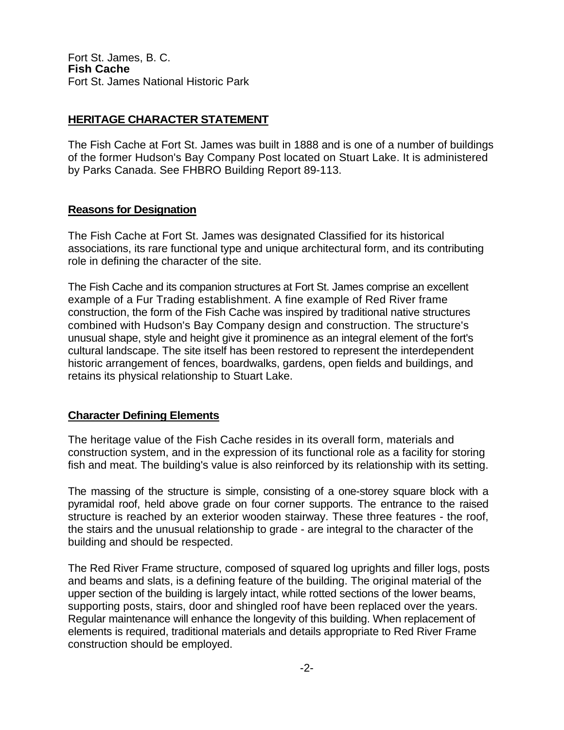Fort St. James, B. C. **Fish Cache**  Fort St. James National Historic Park

## **HERITAGE CHARACTER STATEMENT**

The Fish Cache at Fort St. James was built in 1888 and is one of a number of buildings of the former Hudson's Bay Company Post located on Stuart Lake. It is administered by Parks Canada. See FHBRO Building Report 89-113.

## **Reasons for Designation**

The Fish Cache at Fort St. James was designated Classified for its historical associations, its rare functional type and unique architectural form, and its contributing role in defining the character of the site.

The Fish Cache and its companion structures at Fort St. James comprise an excellent example of a Fur Trading establishment. A fine example of Red River frame construction, the form of the Fish Cache was inspired by traditional native structures combined with Hudson's Bay Company design and construction. The structure's unusual shape, style and height give it prominence as an integral element of the fort's cultural landscape. The site itself has been restored to represent the interdependent historic arrangement of fences, boardwalks, gardens, open fields and buildings, and retains its physical relationship to Stuart Lake.

## **Character Defining Elements**

The heritage value of the Fish Cache resides in its overall form, materials and construction system, and in the expression of its functional role as a facility for storing fish and meat. The building's value is also reinforced by its relationship with its setting.

The massing of the structure is simple, consisting of a one-storey square block with a pyramidal roof, held above grade on four corner supports. The entrance to the raised structure is reached by an exterior wooden stairway. These three features - the roof, the stairs and the unusual relationship to grade - are integral to the character of the building and should be respected.

The Red River Frame structure, composed of squared log uprights and filler logs, posts and beams and slats, is a defining feature of the building. The original material of the upper section of the building is largely intact, while rotted sections of the lower beams, supporting posts, stairs, door and shingled roof have been replaced over the years. Regular maintenance will enhance the longevity of this building. When replacement of elements is required, traditional materials and details appropriate to Red River Frame construction should be employed.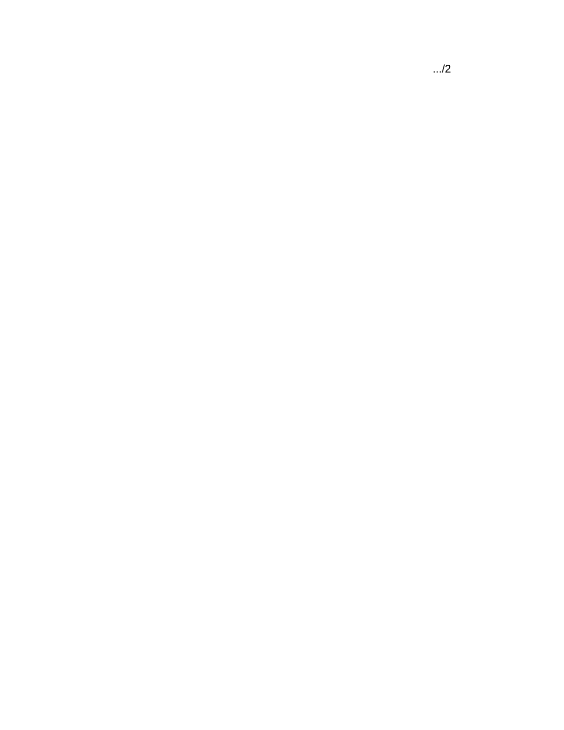$\ldots/2$